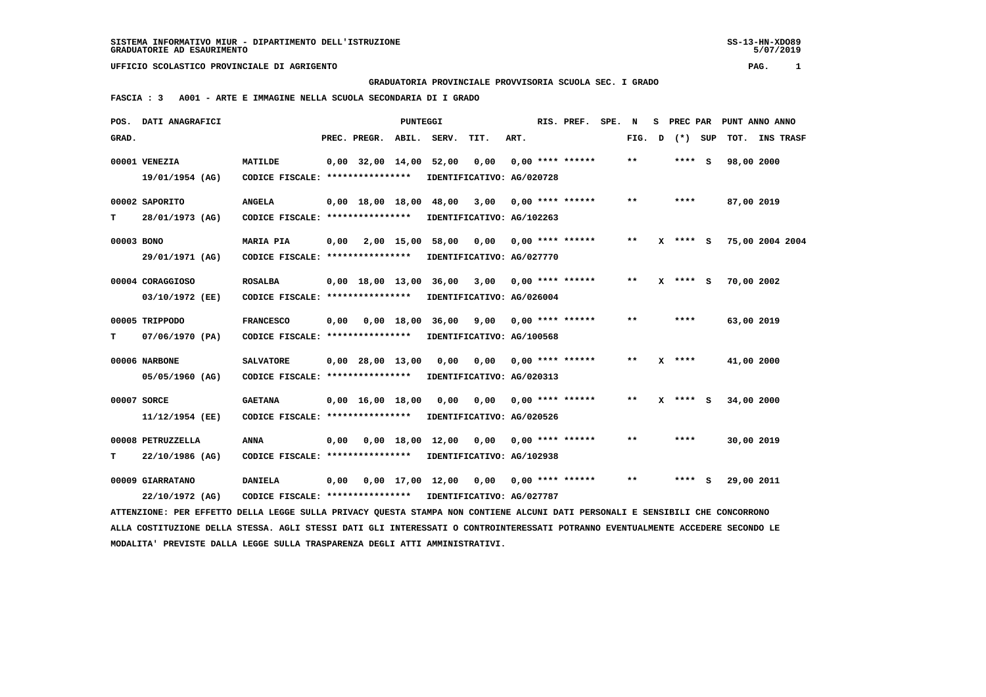5/07/2019

## **UFFICIO SCOLASTICO PROVINCIALE DI AGRIGENTO PAG. 1**

 **GRADUATORIA PROVINCIALE PROVVISORIA SCUOLA SEC. I GRADO**

 **FASCIA : 3 A001 - ARTE E IMMAGINE NELLA SCUOLA SECONDARIA DI I GRADO**

| POS.       | DATI ANAGRAFICI                                                                                                               |                                   |      | RIS. PREF.                        | SPE. N |                       | s                                              | PREC PAR |                    |  | PUNT ANNO ANNO |   |            |           |            |                 |
|------------|-------------------------------------------------------------------------------------------------------------------------------|-----------------------------------|------|-----------------------------------|--------|-----------------------|------------------------------------------------|----------|--------------------|--|----------------|---|------------|-----------|------------|-----------------|
| GRAD.      |                                                                                                                               |                                   |      | PREC. PREGR.                      | ABIL.  | SERV.                 | TIT.                                           | ART.     |                    |  | FIG.           | D |            | $(*)$ SUP |            | TOT. INS TRASF  |
|            | 00001 VENEZIA                                                                                                                 | MATILDE                           |      | $0,00$ 32,00 14,00                |        | 52,00                 | 0,00                                           |          | $0.00$ **** ****** |  | $* *$          |   | **** S     |           | 98,00 2000 |                 |
|            | 19/01/1954 (AG)                                                                                                               |                                   |      | CODICE FISCALE: ***************** |        |                       | IDENTIFICATIVO: AG/020728                      |          |                    |  |                |   |            |           |            |                 |
|            | 00002 SAPORITO                                                                                                                | <b>ANGELA</b>                     |      | $0,00$ 18,00 18,00                |        | 48,00                 | 3,00                                           |          | $0.00$ **** ****** |  | $***$          |   | ****       |           | 87,00 2019 |                 |
| т          | 28/01/1973 (AG)                                                                                                               | CODICE FISCALE: ****************  |      |                                   |        |                       | IDENTIFICATIVO: AG/102263                      |          |                    |  |                |   |            |           |            |                 |
| 00003 BONO |                                                                                                                               | <b>MARIA PIA</b>                  |      |                                   |        | 0,00 2,00 15,00 58,00 | 0,00                                           |          | $0.00$ **** ****** |  | $**$           |   | $X$ **** S |           |            | 75,00 2004 2004 |
|            | 29/01/1971 (AG)                                                                                                               | CODICE FISCALE: ***************** |      |                                   |        |                       | IDENTIFICATIVO: AG/027770                      |          |                    |  |                |   |            |           |            |                 |
|            | 00004 CORAGGIOSO                                                                                                              | <b>ROSALBA</b>                    |      |                                   |        |                       | $0,00$ 18,00 13,00 36,00 3,00 0,00 **** ****** |          |                    |  | $***$          |   | $X$ **** S |           | 70,00 2002 |                 |
|            | 03/10/1972 (EE)                                                                                                               | CODICE FISCALE: ****************  |      |                                   |        |                       | IDENTIFICATIVO: AG/026004                      |          |                    |  |                |   |            |           |            |                 |
|            | 00005 TRIPPODO                                                                                                                | <b>FRANCESCO</b>                  | 0,00 | 0,00 18,00                        |        |                       | 36,00 9,00                                     |          | $0.00$ **** ****** |  | $***$          |   | ****       |           | 63,00 2019 |                 |
| т          | 07/06/1970 (PA)                                                                                                               | CODICE FISCALE: ***************** |      |                                   |        |                       | IDENTIFICATIVO: AG/100568                      |          |                    |  |                |   |            |           |            |                 |
|            | 00006 NARBONE                                                                                                                 | <b>SALVATORE</b>                  |      | $0,00$ 28,00 13,00                |        | 0,00                  | 0,00                                           |          | $0.00$ **** ****** |  | $***$          |   | $X$ ****   |           | 41,00 2000 |                 |
|            | 05/05/1960 (AG)                                                                                                               | CODICE FISCALE: ***************** |      |                                   |        |                       | IDENTIFICATIVO: AG/020313                      |          |                    |  |                |   |            |           |            |                 |
|            | 00007 SORCE                                                                                                                   | <b>GAETANA</b>                    |      | $0.00 \quad 16.00 \quad 18.00$    |        | 0.00                  | 0.00                                           |          | $0.00$ **** ****** |  | $* *$          |   | $X$ **** S |           | 34,00 2000 |                 |
|            | 11/12/1954 (EE)                                                                                                               | CODICE FISCALE: ****************  |      |                                   |        |                       | IDENTIFICATIVO: AG/020526                      |          |                    |  |                |   |            |           |            |                 |
|            | 00008 PETRUZZELLA                                                                                                             | <b>ANNA</b>                       | 0,00 |                                   |        |                       | 0,00 18,00 12,00 0,00                          |          | $0.00$ **** ****** |  | $***$          |   | ****       |           | 30,00 2019 |                 |
| т          | 22/10/1986 (AG)                                                                                                               | CODICE FISCALE: ***************** |      |                                   |        |                       | IDENTIFICATIVO: AG/102938                      |          |                    |  |                |   |            |           |            |                 |
|            | 00009 GIARRATANO                                                                                                              | <b>DANIELA</b>                    | 0,00 |                                   |        |                       | 0,00 17,00 12,00 0,00                          |          | $0.00$ **** ****** |  | $***$          |   | $***$ S    |           | 29,00 2011 |                 |
|            | 22/10/1972 (AG)                                                                                                               | CODICE FISCALE: ***************** |      |                                   |        |                       | IDENTIFICATIVO: AG/027787                      |          |                    |  |                |   |            |           |            |                 |
|            | ATTENZIONE: PER EFFETTO DELLA LEGGE SULLA PRIVACY QUESTA STAMPA NON CONTIENE ALCUNI DATI PERSONALI E SENSIBILI CHE CONCORRONO |                                   |      |                                   |        |                       |                                                |          |                    |  |                |   |            |           |            |                 |

 **ALLA COSTITUZIONE DELLA STESSA. AGLI STESSI DATI GLI INTERESSATI O CONTROINTERESSATI POTRANNO EVENTUALMENTE ACCEDERE SECONDO LE MODALITA' PREVISTE DALLA LEGGE SULLA TRASPARENZA DEGLI ATTI AMMINISTRATIVI.**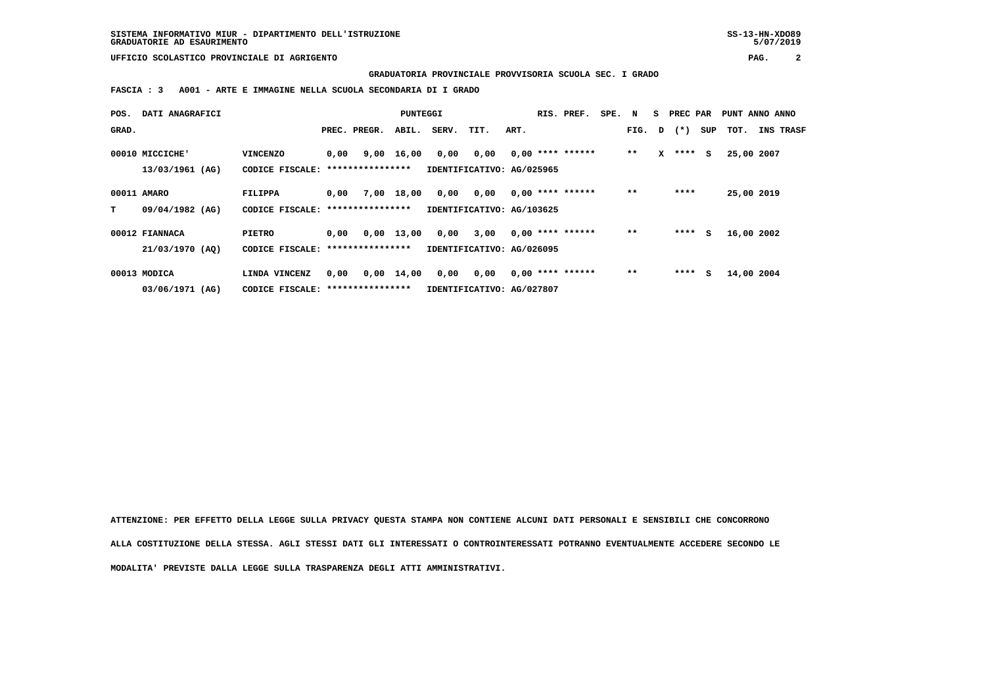**SISTEMA INFORMATIVO MIUR - DIPARTIMENTO DELL'ISTRUZIONE SS-13-HN-XDO89 GRADUATORIE AD ESAURIMENTO 5/07/2019**

 **UFFICIO SCOLASTICO PROVINCIALE DI AGRIGENTO PAG. 2**

 **GRADUATORIA PROVINCIALE PROVVISORIA SCUOLA SEC. I GRADO**

 **FASCIA : 3 A001 - ARTE E IMMAGINE NELLA SCUOLA SECONDARIA DI I GRADO**

| POS.  | DATI ANAGRAFICI |                                   | PUNTEGGI<br>RIS. PREF.            |              |                    |                           |      | SPE. | N | s.                 | PREC PAR |      | PUNT ANNO ANNO |                |     |            |                  |
|-------|-----------------|-----------------------------------|-----------------------------------|--------------|--------------------|---------------------------|------|------|---|--------------------|----------|------|----------------|----------------|-----|------------|------------------|
| GRAD. |                 |                                   |                                   | PREC. PREGR. | ABIL.              | SERV.                     | TIT. | ART. |   |                    |          |      |                | FIG. $D$ $(*)$ | SUP | тот.       | <b>INS TRASF</b> |
|       | 00010 MICCICHE' | <b>VINCENZO</b>                   | 0,00                              | 9,00         | 16,00              | 0,00                      | 0,00 |      |   | $0,00$ **** ****** |          | $**$ | x              | ****           | s   | 25,00 2007 |                  |
|       | 13/03/1961 (AG) | CODICE FISCALE: ***************** |                                   |              |                    | IDENTIFICATIVO: AG/025965 |      |      |   |                    |          |      |                |                |     |            |                  |
|       | 00011 AMARO     | FILIPPA                           | 0,00                              | 7,00         | 18,00              | 0,00                      | 0,00 |      |   | $0,00$ **** ****** |          | $**$ |                | ****           |     | 25,00 2019 |                  |
| т     | 09/04/1982 (AG) | CODICE FISCALE: ***************** |                                   |              |                    | IDENTIFICATIVO: AG/103625 |      |      |   |                    |          |      |                |                |     |            |                  |
|       | 00012 FIANNACA  | <b>PIETRO</b>                     | 0,00                              |              | $0,00$ 13,00       | 0,00                      | 3,00 |      |   | $0,00$ **** ****** |          | $**$ |                | ****           | s   | 16,00 2002 |                  |
|       | 21/03/1970 (AQ) | CODICE FISCALE: ****************  |                                   |              |                    | IDENTIFICATIVO: AG/026095 |      |      |   |                    |          |      |                |                |     |            |                  |
|       | 00013 MODICA    | LINDA VINCENZ                     | 0,00                              |              | $0,00 \quad 14,00$ | 0,00                      | 0,00 |      |   | $0,00$ **** ****** |          | $**$ |                | ****           | s   | 14,00 2004 |                  |
|       | 03/06/1971 (AG) |                                   | CODICE FISCALE: ***************** |              |                    | IDENTIFICATIVO: AG/027807 |      |      |   |                    |          |      |                |                |     |            |                  |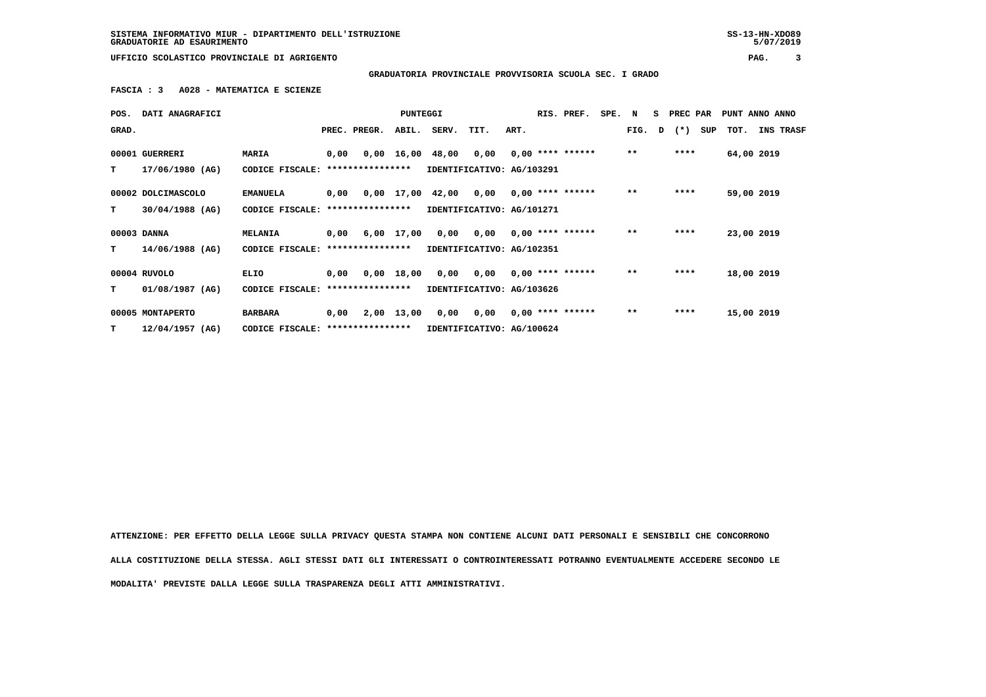**SISTEMA INFORMATIVO MIUR - DIPARTIMENTO DELL'ISTRUZIONE SS-13-HN-XDO89 GRADUATORIE AD ESAURIMENTO 5/07/2019**

 **UFFICIO SCOLASTICO PROVINCIALE DI AGRIGENTO PAG. 3**

 **GRADUATORIA PROVINCIALE PROVVISORIA SCUOLA SEC. I GRADO**

 **FASCIA : 3 A028 - MATEMATICA E SCIENZE**

| POS.  | DATI ANAGRAFICI    |                                   |      |                  | PUNTEGGI   |                           |                           |      | RIS. PREF.         | SPE. N |       |   | S PREC PAR |     | PUNT ANNO ANNO |           |
|-------|--------------------|-----------------------------------|------|------------------|------------|---------------------------|---------------------------|------|--------------------|--------|-------|---|------------|-----|----------------|-----------|
| GRAD. |                    |                                   |      | PREC. PREGR.     | ABIL.      | SERV.                     | TIT.                      | ART. |                    |        | FIG.  | D | $(* )$     | SUP | TOT.           | INS TRASF |
|       | 00001 GUERRERI     | MARIA                             | 0,00 |                  |            | 0,00 16,00 48,00 0,00     |                           |      | $0.00$ **** ****** |        | $* *$ |   | ****       |     | 64,00 2019     |           |
| т     | 17/06/1980 (AG)    | CODICE FISCALE:                   |      | **************** |            |                           | IDENTIFICATIVO: AG/103291 |      |                    |        |       |   |            |     |                |           |
|       | 00002 DOLCIMASCOLO | <b>EMANUELA</b>                   | 0,00 |                  |            | 0,00 17,00 42,00 0,00     |                           |      | $0,00$ **** ****** |        | $***$ |   | ****       |     | 59,00 2019     |           |
| T.    | $30/04/1988$ (AG)  | CODICE FISCALE:                   |      | **************** |            | IDENTIFICATIVO: AG/101271 |                           |      |                    |        |       |   |            |     |                |           |
|       | 00003 DANNA        | <b>MELANIA</b>                    | 0,00 |                  | 6,00 17,00 | 0,00                      | 0,00                      |      | $0.00$ **** ****** |        | $* *$ |   | ****       |     | 23,00 2019     |           |
| T.    | 14/06/1988 (AG)    | CODICE FISCALE: ****************  |      |                  |            | IDENTIFICATIVO: AG/102351 |                           |      |                    |        |       |   |            |     |                |           |
|       | 00004 RUVOLO       | ELIO                              | 0,00 |                  | 0,00 18,00 |                           | 0,00 0,00                 |      | $0,00$ **** ****** |        | $***$ |   | ****       |     | 18,00 2019     |           |
| T.    | 01/08/1987 (AG)    | CODICE FISCALE:                   |      | **************** |            |                           | IDENTIFICATIVO: AG/103626 |      |                    |        |       |   |            |     |                |           |
|       | 00005 MONTAPERTO   | <b>BARBARA</b>                    | 0,00 |                  | 2,00 13,00 | 0,00                      | 0,00                      |      | $0.00$ **** ****** |        | $* *$ |   | ****       |     | 15,00 2019     |           |
| т     | $12/04/1957$ (AG)  | CODICE FISCALE: ***************** |      |                  |            | IDENTIFICATIVO: AG/100624 |                           |      |                    |        |       |   |            |     |                |           |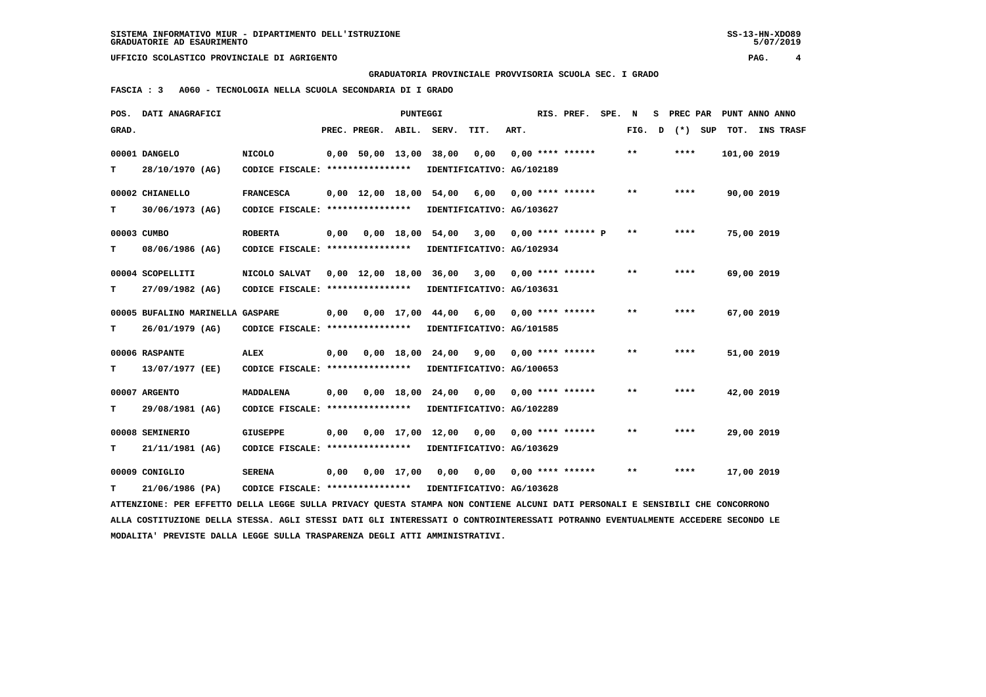**UFFICIO SCOLASTICO PROVINCIALE DI AGRIGENTO PAG. 4**

 **GRADUATORIA PROVINCIALE PROVVISORIA SCUOLA SEC. I GRADO**

 **FASCIA : 3 A060 - TECNOLOGIA NELLA SCUOLA SECONDARIA DI I GRADO**

| POS.  | DATI ANAGRAFICI                                                                                                                 |                                                            |      |                        |              | PUNTEGGI                       |                                        |      | RIS. PREF. SPE.    | N                          | s | PREC PAR | PUNT ANNO ANNO |  |
|-------|---------------------------------------------------------------------------------------------------------------------------------|------------------------------------------------------------|------|------------------------|--------------|--------------------------------|----------------------------------------|------|--------------------|----------------------------|---|----------|----------------|--|
| GRAD. |                                                                                                                                 |                                                            |      | PREC. PREGR.           | ABIL.        | SERV.                          | TIT.                                   | ART. |                    | FIG.                       | D | (*) SUP  | TOT. INS TRASF |  |
|       | 00001 DANGELO                                                                                                                   | <b>NICOLO</b>                                              |      | $0,00$ 50,00 13,00     |              | 38,00                          | 0,00                                   |      | $0.00$ **** ****** | $* *$                      |   | ****     | 101,00 2019    |  |
| т     | 28/10/1970 (AG)                                                                                                                 | CODICE FISCALE: ****************                           |      |                        |              |                                | IDENTIFICATIVO: AG/102189              |      |                    |                            |   |          |                |  |
|       | 00002 CHIANELLO                                                                                                                 | <b>FRANCESCA</b>                                           |      | 0,00 12,00 18,00 54,00 |              |                                | 6,00                                   |      | $0.00$ **** ****** | $* *$                      |   | ****     | 90,00 2019     |  |
| т     | 30/06/1973 (AG)                                                                                                                 | CODICE FISCALE: *****************                          |      |                        |              |                                | IDENTIFICATIVO: AG/103627              |      |                    |                            |   |          |                |  |
|       | 00003 CUMBO                                                                                                                     | <b>ROBERTA</b>                                             | 0,00 |                        | 0,00 18,00   |                                | 54,00 3,00 0,00 **** ****** P          |      |                    | $\pmb{\times}\pmb{\times}$ |   | ****     | 75,00 2019     |  |
| т     | 08/06/1986 (AG)                                                                                                                 | CODICE FISCALE: ****************                           |      |                        |              |                                | IDENTIFICATIVO: AG/102934              |      |                    |                            |   |          |                |  |
|       | 00004 SCOPELLITI                                                                                                                | NICOLO SALVAT                                              |      | 0,00 12,00 18,00 36,00 |              |                                | 3,00                                   |      | $0.00$ **** ****** | $***$                      |   | ****     | 69,00 2019     |  |
| т     | 27/09/1982 (AG)                                                                                                                 | CODICE FISCALE: *****************                          |      |                        |              |                                | IDENTIFICATIVO: AG/103631              |      |                    |                            |   |          |                |  |
|       | 00005 BUFALINO MARINELLA GASPARE                                                                                                |                                                            | 0.00 |                        | $0.00$ 17.00 |                                | 44,00 6,00 0,00 **** ******            |      |                    | $***$                      |   | ****     | 67,00 2019     |  |
| т     | 26/01/1979 (AG)                                                                                                                 | CODICE FISCALE: ****************                           |      |                        |              |                                | IDENTIFICATIVO: AG/101585              |      |                    |                            |   |          |                |  |
|       | 00006 RASPANTE                                                                                                                  | <b>ALEX</b>                                                | 0,00 |                        |              | $0.00 \quad 18.00 \quad 24.00$ | 9,00                                   |      | $0.00$ **** ****** | $***$                      |   | ****     | 51,00 2019     |  |
| т     | 13/07/1977 (EE)                                                                                                                 | CODICE FISCALE: ****************                           |      |                        |              |                                | IDENTIFICATIVO: AG/100653              |      |                    |                            |   |          |                |  |
|       | 00007 ARGENTO                                                                                                                   | <b>MADDALENA</b>                                           | 0,00 |                        | 0,00 18,00   |                                | $24,00$ 0,00 0,00 **** ******          |      |                    | $* *$                      |   | ****     | 42,00 2019     |  |
| т     | 29/08/1981 (AG)                                                                                                                 | CODICE FISCALE: ****************                           |      |                        |              |                                | IDENTIFICATIVO: AG/102289              |      |                    |                            |   |          |                |  |
|       | 00008 SEMINERIO                                                                                                                 | <b>GIUSEPPE</b>                                            | 0,00 |                        |              | $0.00 \quad 17.00 \quad 12.00$ | 0.00                                   |      | $0.00$ **** ****** | $***$                      |   | ****     | 29,00 2019     |  |
| т     | 21/11/1981 (AG)                                                                                                                 | CODICE FISCALE: ****************                           |      |                        |              |                                | IDENTIFICATIVO: AG/103629              |      |                    |                            |   |          |                |  |
|       | 00009 CONIGLIO                                                                                                                  | <b>SERENA</b>                                              | 0,00 |                        | $0,00$ 17,00 |                                | $0,00$ $0,00$ $0,00$ $***$ **** ****** |      |                    | $***$                      |   | ****     | 17,00 2019     |  |
|       | 21/06/1986 (PA)                                                                                                                 | CODICE FISCALE: **************** IDENTIFICATIVO: AG/103628 |      |                        |              |                                |                                        |      |                    |                            |   |          |                |  |
|       | ATTENZIONE: PER EFFETTO DELLA LEGGE SULLA PRIVACY QUESTA STAMPA NON CONTIENE ALCUNI DATI PERSONALI E SENSIBILI CHE CONCORRONO   |                                                            |      |                        |              |                                |                                        |      |                    |                            |   |          |                |  |
|       | ALLA COSTITUZIONE DELLA STESSA. AGLI STESSI DATI GLI INTERESSATI O CONTROINTERESSATI POTRANNO EVENTUALMENTE ACCEDERE SECONDO LE |                                                            |      |                        |              |                                |                                        |      |                    |                            |   |          |                |  |

 **MODALITA' PREVISTE DALLA LEGGE SULLA TRASPARENZA DEGLI ATTI AMMINISTRATIVI.**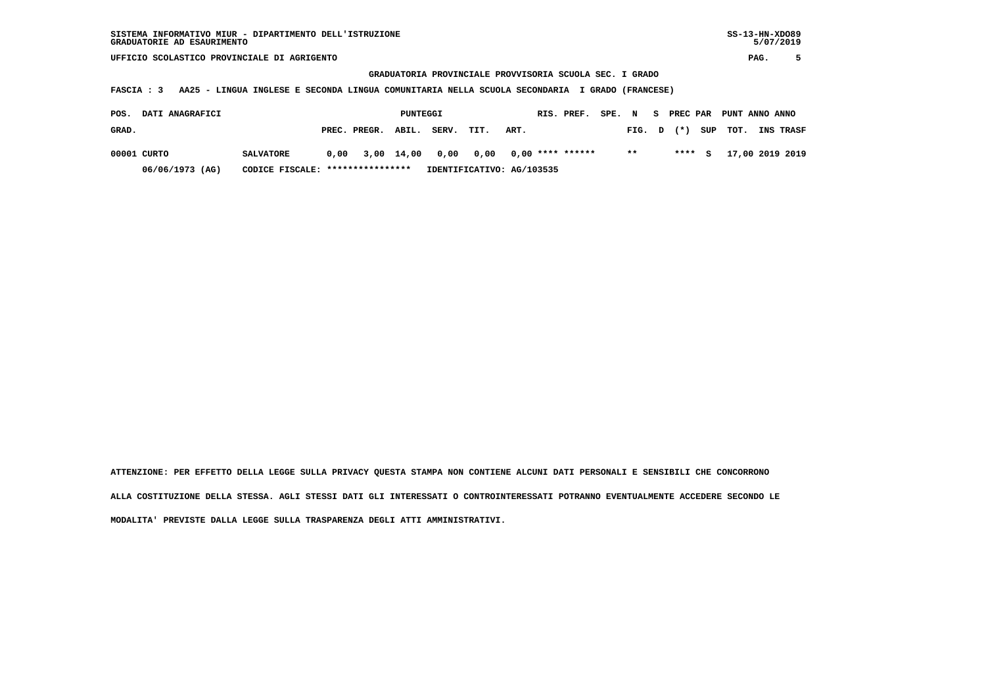**UFFICIO SCOLASTICO PROVINCIALE DI AGRIGENTO PAG. 5**

 **GRADUATORIA PROVINCIALE PROVVISORIA SCUOLA SEC. I GRADO**

 **FASCIA : 3 AA25 - LINGUA INGLESE E SECONDA LINGUA COMUNITARIA NELLA SCUOLA SECONDARIA I GRADO (FRANCESE)**

| POS.  | DATI ANAGRAFICI |                                  |                    | PUNTEGGI |                                              |                           |      | RIS. PREF. | SPE. N |      |        | S PREC PAR PUNT ANNO ANNO |                  |
|-------|-----------------|----------------------------------|--------------------|----------|----------------------------------------------|---------------------------|------|------------|--------|------|--------|---------------------------|------------------|
| GRAD. |                 |                                  | PREC. PREGR. ABIL. |          | SERV.                                        | TIT.                      | ART. |            |        |      |        | FIG. $D$ $(*)$ SUP TOT.   | <b>INS TRASF</b> |
|       | 00001 CURTO     | <b>SALVATORE</b>                 |                    |          | $0.00$ 3.00 14.00 0.00 0.00 0.00 **** ****** |                           |      |            |        | $**$ | **** S |                           | 17,00 2019 2019  |
|       | 06/06/1973 (AG) | CODICE FISCALE: **************** |                    |          |                                              | IDENTIFICATIVO: AG/103535 |      |            |        |      |        |                           |                  |